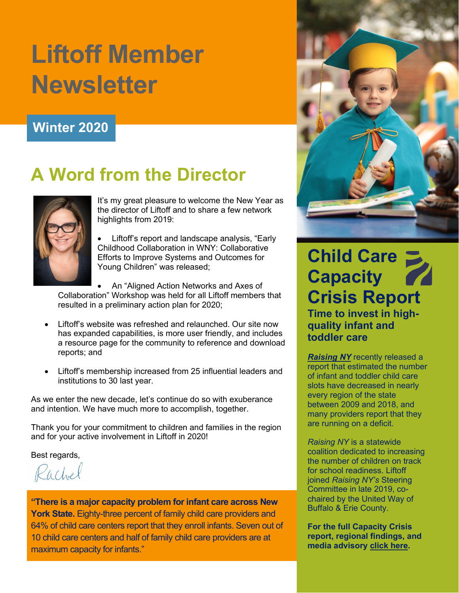# **Liftoff Member Newsletter**

#### **Winter 2020**

## **A Word from the Director**



It's my great pleasure to welcome the New Year as the director of Liftoff and to share a few network highlights from 2019:

Liftoff's report and landscape analysis, "Early Childhood Collaboration in WNY: Collaborative Efforts to Improve Systems and Outcomes for Young Children" was released;

• An "Aligned Action Networks and Axes of Collaboration" Workshop was held for all Liftoff members that resulted in a preliminary action plan for 2020;

- Liftoff's website was refreshed and relaunched. Our site now has expanded capabilities, is more user friendly, and includes a resource page for the community to reference and download reports; and
- Liftoff's membership increased from 25 influential leaders and institutions to 30 last year.

As we enter the new decade, let's continue do so with exuberance and intention. We have much more to accomplish, together.

Thank you for your commitment to children and families in the region and for your active involvement in Liftoff in 2020!

Best regards,

Rachel

**"There is a major capacity problem for infant care across New York State.** Eighty-three percent of family child care providers and 64% of child care centers report that they enroll infants. Seven out of 10 child care centers and half of family child care providers are at maximum capacity for infants."



### **Child Care Capacity Crisis Report**

**Time to invest in highquality infant and toddler care**

*[Raising NY](https://raisingnewyork.org/)* recently released a report that estimated the number of infant and toddler child care slots have decreased in nearly every region of the state between 2009 and 2018, and many providers report that they are running on a deficit.

*Raising NY* is a statewide coalition dedicated to increasing the number of children on track for school readiness. Liftoff joined *Raising NY's* Steering Committee in late 2019, cochaired by the United Way of Buffalo & Erie County.

**For the full Capacity Crisis report, regional findings, and media advisory [click here.](https://raisingnewyork.org/the-capacity-crisis/)**